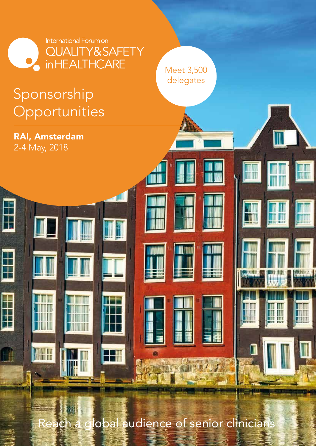

# Sponsorship **Opportunities**

RAI, Amsterdam 2-4 May, 2018

t de

**Filter** 

**MMH** 

Meet 3,500 delegates

EH

**ABR TTM** 

H

 $\mathcal{A}$ 

Reach a global audience of senior clinicians

H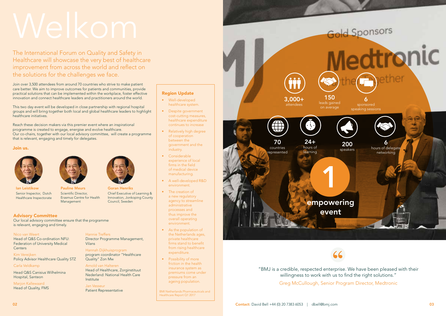Join over 3,500 attendees from around 70 countries who strive to make patient care better. We aim to improve outcomes for patients and communities, provide practical solutions that can be implemented within the workplace, foster effective innovation and connect healthcare leaders and practitioners around the world.

This two day event will be developed in close partnership with regional hospital groups and will bring together both local and global healthcare leaders to highlight healthcare initiatives.

Head of Q&S Co-ordination NFU: Federation of University Medical **Centers** 

Reach these decision makers via this premier event where an inspirational programme is created to engage, energise and evolve healthcare. Our co-chairs, together with our local advisory committee, will create a programme that is relevant, engaging and timely for delegates.

### Join us.

### Advisory Committee

Our local advisory committee ensure that the programme is relevant, engaging and timely.

### Nico van Weert

Kim Vereijken Policy Advisor Healthcare Quality STZ

### Carla Veldkamp

Head Q&S Canisius Wilhelmina Hospital, Santeon

Marjon Kallewaard Head of Quality, FMS

# Hannie Treffers

Director Programme Management, Vilans

Hannah Dijkhuisprogram program coordinator "Healthcare Quality" Zon Mw

### Arnold van Halteren

Head of Healthcare, Zorginstituut Nederland: National Health Care Institute

Jan Vesseur Patient Representative



Ian Leistikow Senior Inspector, Dutch Healthcare Inspectorate



Pauline Meurs Scientific Director, Erasmus Centre for Health



Management



Goran Henriks Chief Executive of Learning & Innovation, Jonkoping County Council, Sweden

The International Forum on Quality and Safety in Healthcare will showcase the very best of healthcare improvement from across the world and reflect on the solutions for the challenges we face.



"BMJ is a credible, respected enterprise. We have been pleased with their willingness to work with us to find the right solutions."

Greg McCullough, Senior Program Director, Medtronic

### Region Update

- Well-developed healthcare system.
- Despite government cost-cutting measures, healthcare expenditure continues to increase
- Relatively high degree of cooperation between the government and the industry.
- Considerable experience of local firms in the field of medical device manufacturing.
- A well-developed R&D environment.
- The creation of a new regulatory agency to streamline administrative processes and thus improve the overall operating environment.
- As the population of the Netherlands ages, private healthcare firms stand to benefit from rising healthcare expenditure.
- Possibility of more friction in the health insurance system as premiums come under pressure from an ageing population.

BMI Netherlands Pharmaceuticals and Healthcare Report Q1 2017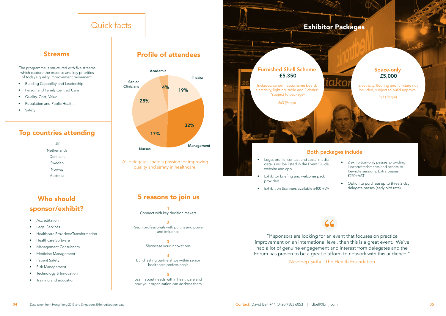

- The programme is structured with five streams **Academic Academic** which capture the essence and key priorities of today's quality improvement movement.
- Building Capability and Leadership
- Person and Family Centred Care
- Quality, Cost, Value
- Population and Public Health
- Safety



 $\overline{3}$ Showcase your innovations

UK **Netherlands** Denmark Sweden Norway Australia

### Top countries attending

# Who should sponsor/exhibit?

- Accreditation
- Legal Services
- Healthcare Providers/Transformation
- Healthcare Software
- Management Consultancy
- Medicine Management
- Patient Safety
- Risk Management
- Technology & Innovation
- Training and education

### Streams **Profile of attendees**

### 5 reasons to join us

1 Connect with key decision makers

2 Reach professionals with purchasing power and influence

4 Build lasting partnerships within senior healthcare professionals

### 5

Learn about needs within healthcare and how your organisation can address them

# Quick facts

"If sponsors are looking for an event that focuses on practice improvement on an international level, then this is a great event. We've had a lot of genuine engagement and interest from delegates and the Forum has proven to be a great platform to network with this audience."

### Navdeep Sidhu, The Health Foundation

04 Data taken from Hong Kong 2015 and Singapore 2016 registration data **O5 Contact:** David Bell +44 (0) 20 7383 6053 domin.com **05 Contact:** David Bell +44 (0) 20 7383 6053 domin.com **05** 

- 
- 

All delegates share a passion for improving quality and safety in healthcare.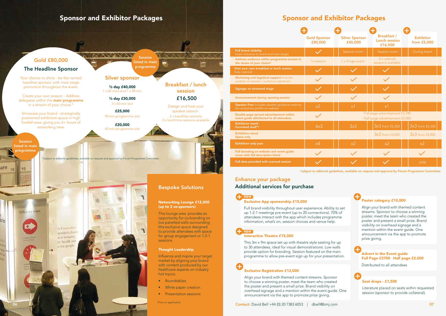**KXXXXXX** 

### Enhance your package Additional services for purchase

### Exclusive App sponsorship £15,000

Full brand visibility throughout user experience. Ability to set up 1-2-1 meetings pre-event (up to 20 connections). 70% of attendees interact with the app which includes programme information, what's on, session choices and venue help.

### Interactive Theatre £15,000

This 3m x 9m space set up with theatre style seating for up to 30 attendees, ideal for visual demonstrations. Low walls provide option for branding. Session featured on the main programme to allow pre-event sign up for your presentation.

### Poster category £10,000

Align your brand with themed content streams. Sponsor to choose a winning poster, meet the team who created the poster and present a small prize. Brand visibility on overhead signage and a mention within the event guide. One announcement via the app to promote prize giving.

### Advert in the Event guide Full Page £3700 Half page £2,000

Distributed to all attendees

### Seat drops - £1,500

Literature placed on seats within requested session (sponsor to provide collateral).

### Exclusive Registration £12,000

Align your brand with themed content streams. Sponsor to choose a winning poster, meet the team who created the poster and present a small prize. Brand visibility on overhead signage and a mention within the event guide. One announcement via the app to promote prize giving.

**Session** sted in main programme

### Sponsor and Exhibitor Packages Sponsor and Exhibitor Packages

|                                                                                       | <b>Gold Sponsor</b><br>£80,000 | <b>Silver Sponsor</b><br>£40,000                                 |  | <b>Breakfast /</b><br><b>Lunch session</b><br>£16,500 |  | <b>Exhibitor</b><br>from £5,000 |  |
|---------------------------------------------------------------------------------------|--------------------------------|------------------------------------------------------------------|--|-------------------------------------------------------|--|---------------------------------|--|
| <b>Full brand visibility</b><br>(main entrance to event and main stage)               |                                | Session room                                                     |  | Session room                                          |  | During event                    |  |
| Address audience within programme session in<br>the steam of your choice*             | 1x session                     | 1 x fringe event                                                 |  | 4 x catered<br>session's available                    |  |                                 |  |
| Host your own breakfast or lunch session<br>(fully catered)                           |                                |                                                                  |  |                                                       |  |                                 |  |
| Marketing and logistical support Includes<br>updates on session / audience registered |                                |                                                                  |  |                                                       |  |                                 |  |
| Signage on streamed stage                                                             |                                |                                                                  |  |                                                       |  |                                 |  |
| Announcement during opening session                                                   |                                |                                                                  |  |                                                       |  |                                 |  |
| Speaker Pass Includes speaker guidance webinar,<br>bio and photo profile on website   | x <sub>2</sub>                 | x <sub>1</sub>                                                   |  | $\times$ 1                                            |  |                                 |  |
| Double page spread advertisement within<br>event guide distributed to all attendees   |                                | Full page advertisement £3,700<br>Half page advertisement £2,000 |  |                                                       |  |                                 |  |
| <b>Exhibition stand -</b><br>Furnished shell**                                        | 6x3                            | 3x3                                                              |  | 3x3 from £5,350                                       |  | 3x3 from £5,350                 |  |
| <b>Exhibition stand</b><br>Space only                                                 |                                |                                                                  |  | 3x3 from £5,000                                       |  | 3x3 from £5,000                 |  |
| <b>Exhibition only pass</b>                                                           | x4                             | x2                                                               |  | x <sub>2</sub>                                        |  | x <sub>2</sub>                  |  |
| Full branding on website and event guide<br>cover with full description listed        |                                |                                                                  |  |                                                       |  |                                 |  |
| Full data provided with scanned session                                               |                                |                                                                  |  |                                                       |  | £450                            |  |

Gold £80,000

The Headline Sponsor

Breakfast / lunch session £16,500

**XXXXXX** 

慶

Design and host your speaker session. 2 x breakfast sessions 2 x lunchtime sessions available

# Bespoke Solutions

### Networking Lounge £12,000 (up to 3 co-sponsors)



This lounge area provides an opportunity for co-branding on low panelled walls surrounding this exclusive space designed to provide attendees with space for group engagement or 1-2-1 sessions.

### Thought Leadership

Influence and inspire your target market by aligning your brand with content produced by our healthcare experts on industry hot topics.

- Roundtables
- White paper creation
- Presentation sessions

Price on application

\*subject to editorial guidelines, available on request and approval by Forum Programme Committee

### NEW

### NEW